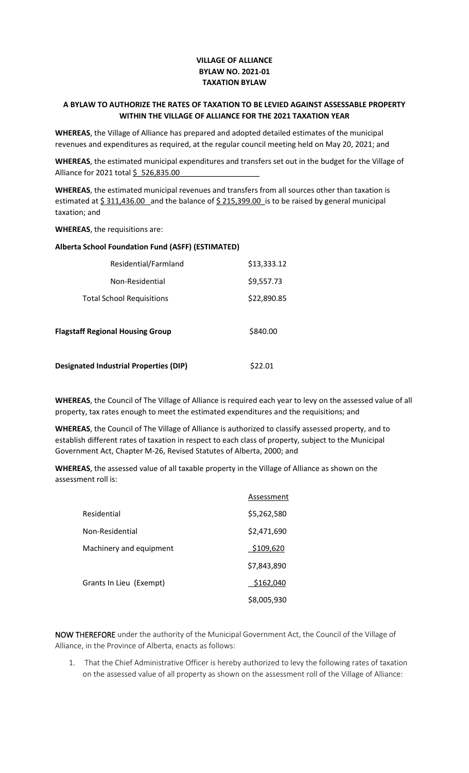## **VILLAGE OF ALLIANCE BYLAW NO. 2021-01 TAXATION BYLAW**

## **A BYLAW TO AUTHORIZE THE RATES OF TAXATION TO BE LEVIED AGAINST ASSESSABLE PROPERTY WITHIN THE VILLAGE OF ALLIANCE FOR THE 2021 TAXATION YEAR**

**WHEREAS**, the Village of Alliance has prepared and adopted detailed estimates of the municipal revenues and expenditures as required, at the regular council meeting held on May 20, 2021; and

**WHEREAS**, the estimated municipal expenditures and transfers set out in the budget for the Village of Alliance for 2021 total \$ 526,835.00

**WHEREAS**, the estimated municipal revenues and transfers from all sources other than taxation is estimated at \$311,436.00 and the balance of \$215,399.00 is to be raised by general municipal taxation; and

**WHEREAS**, the requisitions are:

## **Alberta School Foundation Fund (ASFF) (ESTIMATED)**

| Residential/Farmland                          | \$13,333.12 |
|-----------------------------------------------|-------------|
| Non-Residential                               | \$9,557.73  |
| <b>Total School Requisitions</b>              | \$22,890.85 |
| <b>Flagstaff Regional Housing Group</b>       | \$840.00    |
| <b>Designated Industrial Properties (DIP)</b> | S22.01      |

**WHEREAS**, the Council of The Village of Alliance is required each year to levy on the assessed value of all property, tax rates enough to meet the estimated expenditures and the requisitions; and

**WHEREAS**, the Council of The Village of Alliance is authorized to classify assessed property, and to establish different rates of taxation in respect to each class of property, subject to the Municipal Government Act, Chapter M-26, Revised Statutes of Alberta, 2000; and

**WHEREAS**, the assessed value of all taxable property in the Village of Alliance as shown on the assessment roll is:

|                         | Assessment  |
|-------------------------|-------------|
| Residential             | \$5,262,580 |
| Non-Residential         | \$2,471,690 |
| Machinery and equipment | \$109,620   |
|                         | \$7,843,890 |
| Grants In Lieu (Exempt) | \$162,040   |
|                         | \$8,005,930 |

NOW THEREFORE under the authority of the Municipal Government Act, the Council of the Village of Alliance, in the Province of Alberta, enacts as follows:

1. That the Chief Administrative Officer is hereby authorized to levy the following rates of taxation on the assessed value of all property as shown on the assessment roll of the Village of Alliance: